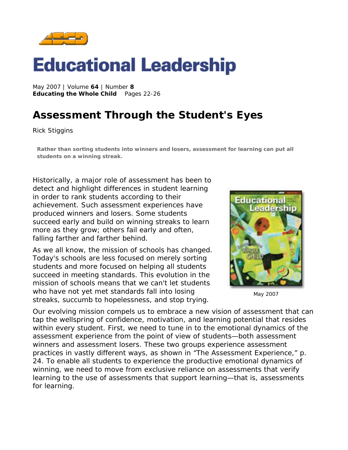

# **Educational Leadership**

May 2007 | Volume **64** | Number **8 Educating the Whole Child** Pages 22-26

## **Assessment Through the Student's Eyes**

*Rick Stiggins* 

**Rather than sorting students into winners and losers, assessment for learning can put all students on a winning streak.** 

Historically, a major role of assessment has been to detect and highlight differences in student learning in order to rank students according to their achievement. Such assessment experiences have produced winners and losers. Some students succeed early and build on winning streaks to learn more as they grow; others fail early and often, falling farther and farther behind.

As we all know, the mission of schools has changed. Today's schools are less focused on merely sorting students and more focused on helping *all* students succeed in meeting standards. This evolution in the mission of schools means that we can't let students who have not yet met standards fall into losing streaks, succumb to hopelessness, and stop trying.



May 2007

Our evolving mission compels us to embrace a new vision of assessment that can tap the wellspring of confidence, motivation, and learning potential that resides within every student. First, we need to tune in to the emotional dynamics of the assessment experience from the point of view of students—both assessment winners and assessment losers. These two groups experience assessment practices in vastly different ways, as shown in "The Assessment Experience," p. 24. To enable all students to experience the productive emotional dynamics of winning, we need to move from exclusive reliance on assessments that verify learning to the use of assessments that support learning—that is, assessments *for* learning.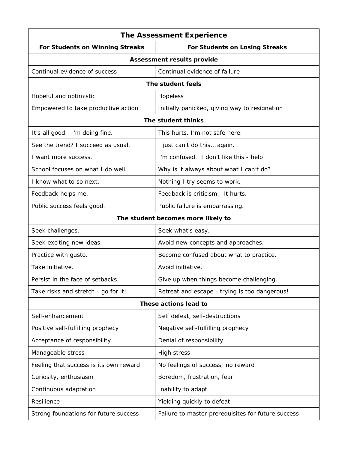| <b>The Assessment Experience</b>       |                                                    |
|----------------------------------------|----------------------------------------------------|
| <b>For Students on Winning Streaks</b> | For Students on Losing Streaks                     |
| <b>Assessment results provide</b>      |                                                    |
| Continual evidence of success          | Continual evidence of failure                      |
| The student feels                      |                                                    |
| Hopeful and optimistic                 | Hopeless                                           |
| Empowered to take productive action    | Initially panicked, giving way to resignation      |
| The student thinks                     |                                                    |
| It's all good. I'm doing fine.         | This hurts. I'm not safe here.                     |
| See the trend? I succeed as usual.     | I just can't do thisagain.                         |
| I want more success.                   | I'm confused. I don't like this - help!            |
| School focuses on what I do well.      | Why is it always about what I can't do?            |
| I know what to so next.                | Nothing I try seems to work.                       |
| Feedback helps me.                     | Feedback is criticism. It hurts.                   |
| Public success feels good.             | Public failure is embarrassing.                    |
| The student becomes more likely to     |                                                    |
| Seek challenges.                       | Seek what's easy.                                  |
| Seek exciting new ideas.               | Avoid new concepts and approaches.                 |
| Practice with gusto.                   | Become confused about what to practice.            |
| Take initiative.                       | Avoid initiative.                                  |
| Persist in the face of setbacks.       | Give up when things become challenging.            |
| Take risks and stretch - go for it!    | Retreat and escape - trying is too dangerous!      |
| These actions lead to                  |                                                    |
| Self-enhancement                       | Self defeat, self-destructions                     |
| Positive self-fulfilling prophecy      | Negative self-fulfilling prophecy                  |
| Acceptance of responsibility           | Denial of responsibility                           |
| Manageable stress                      | High stress                                        |
| Feeling that success is its own reward | No feelings of success; no reward                  |
| Curiosity, enthusiasm                  | Boredom, frustration, fear                         |
| Continuous adaptation                  | Inability to adapt                                 |
| Resilience                             | Yielding quickly to defeat                         |
| Strong foundations for future success  | Failure to master prerequisites for future success |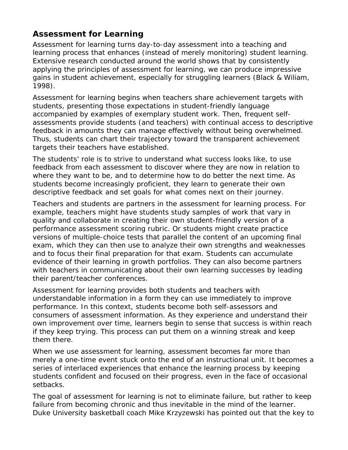### **Assessment** *for* **Learning**

Assessment for learning turns day-to-day assessment into a teaching and learning process that enhances (instead of merely monitoring) student learning. Extensive research conducted around the world shows that by consistently applying the principles of assessment for learning, we can produce impressive gains in student achievement, especially for struggling learners (Black & Wiliam, 1998).

Assessment for learning begins when teachers share achievement targets with students, presenting those expectations in student-friendly language accompanied by examples of exemplary student work. Then, frequent selfassessments provide students (and teachers) with continual access to descriptive feedback in amounts they can manage effectively without being overwhelmed. Thus, students can chart their trajectory toward the transparent achievement targets their teachers have established.

The students' role is to strive to understand what success looks like, to use feedback from each assessment to discover where they are now in relation to where they want to be, and to determine how to do better the next time. As students become increasingly proficient, they learn to generate their own descriptive feedback and set goals for what comes next on their journey.

Teachers and students are partners in the assessment for learning process. For example, teachers might have students study samples of work that vary in quality and collaborate in creating their own student-friendly version of a performance assessment scoring rubric. Or students might create practice versions of multiple-choice tests that parallel the content of an upcoming final exam, which they can then use to analyze their own strengths and weaknesses and to focus their final preparation for that exam. Students can accumulate evidence of their learning in growth portfolios. They can also become partners with teachers in communicating about their own learning successes by leading their parent/teacher conferences.

Assessment for learning provides both students and teachers with understandable information in a form they can use immediately to improve performance. In this context, students become both self-assessors and consumers of assessment information. As they experience and understand their own improvement over time, learners begin to sense that success is within reach if they keep trying. This process can put them on a winning streak and keep them there.

When we use assessment for learning, assessment becomes far more than merely a one-time event stuck onto the end of an instructional unit. It becomes a series of interlaced experiences that enhance the learning process by keeping students confident and focused on their progress, even in the face of occasional setbacks.

The goal of assessment for learning is not to eliminate failure, but rather to keep failure from becoming chronic and thus inevitable in the mind of the learner. Duke University basketball coach Mike Krzyzewski has pointed out that the key to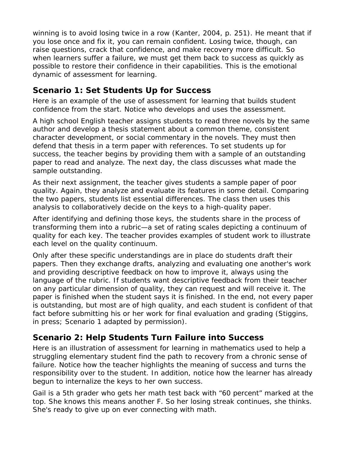winning is to avoid losing twice in a row (Kanter, 2004, p. 251). He meant that if you lose once and fix it, you can remain confident. Losing twice, though, can raise questions, crack that confidence, and make recovery more difficult. So when learners suffer a failure, we must get them back to success as quickly as possible to restore their confidence in their capabilities. This is the emotional dynamic of assessment for learning.

#### **Scenario 1: Set Students Up for Success**

Here is an example of the use of assessment for learning that builds student confidence from the start. Notice who develops and uses the assessment.

A high school English teacher assigns students to read three novels by the same author and develop a thesis statement about a common theme, consistent character development, or social commentary in the novels. They must then defend that thesis in a term paper with references. To set students up for success, the teacher begins by providing them with a sample of an outstanding paper to read and analyze. The next day, the class discusses what made the sample outstanding.

As their next assignment, the teacher gives students a sample paper of poor quality. Again, they analyze and evaluate its features in some detail. Comparing the two papers, students list essential differences. The class then uses this analysis to collaboratively decide on the keys to a high-quality paper.

After identifying and defining those keys, the students share in the process of transforming them into a rubric—a set of rating scales depicting a continuum of quality for each key. The teacher provides examples of student work to illustrate each level on the quality continuum.

Only after these specific understandings are in place do students draft their papers. Then they exchange drafts, analyzing and evaluating one another's work and providing descriptive feedback on how to improve it, always using the language of the rubric. If students want descriptive feedback from their teacher on any particular dimension of quality, they can request and will receive it. The paper is finished when the student says it is finished. In the end, not every paper is outstanding, but most are of high quality, and each student is confident of that fact before submitting his or her work for final evaluation and grading (Stiggins, in press; Scenario 1 adapted by permission).

### **Scenario 2: Help Students Turn Failure into Success**

Here is an illustration of assessment for learning in mathematics used to help a struggling elementary student find the path to recovery from a chronic sense of failure. Notice how the teacher highlights the meaning of success and turns the responsibility over to the student. In addition, notice how the learner has already begun to internalize the keys to her own success.

Gail is a 5th grader who gets her math test back with "60 percent" marked at the top. She knows this means another *F*. So her losing streak continues, she thinks. She's ready to give up on ever connecting with math.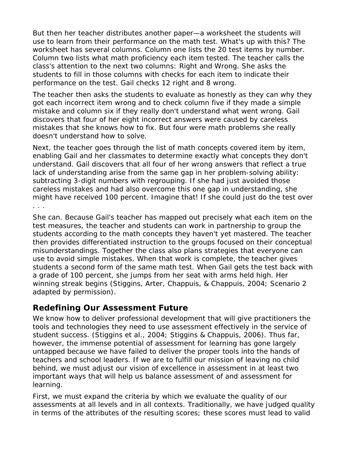But then her teacher distributes another paper—a worksheet the students will use to learn from their performance on the math test. What's up with this? The worksheet has several columns. Column one lists the 20 test items by number. Column two lists what math proficiency each item tested. The teacher calls the class's attention to the next two columns: *Right* and *Wrong*. She asks the students to fill in those columns with checks for each item to indicate their performance on the test. Gail checks 12 right and 8 wrong.

The teacher then asks the students to evaluate as honestly as they can why they got each incorrect item wrong and to check column five if they made a simple mistake and column six if they really don't understand what went wrong. Gail discovers that four of her eight incorrect answers were caused by careless mistakes that she knows how to fix. But four were math problems she really doesn't understand how to solve.

Next, the teacher goes through the list of math concepts covered item by item, enabling Gail and her classmates to determine exactly what concepts they don't understand. Gail discovers that all four of her wrong answers that reflect a true lack of understanding arise from the same gap in her problem-solving ability: subtracting 3-digit numbers with regrouping. If she had just avoided those careless mistakes and had also overcome this one gap in understanding, she might have received 100 percent. Imagine that! If she could just do the test over . . .

She can. Because Gail's teacher has mapped out precisely what each item on the test measures, the teacher and students can work in partnership to group the students according to the math concepts they haven't yet mastered. The teacher then provides differentiated instruction to the groups focused on their conceptual misunderstandings. Together the class also plans strategies that everyone can use to avoid simple mistakes. When that work is complete, the teacher gives students a second form of the same math test. When Gail gets the test back with a grade of 100 percent, she jumps from her seat with arms held high. Her winning streak begins (Stiggins, Arter, Chappuis, & Chappuis, 2004; Scenario 2 adapted by permission).

#### **Redefining Our Assessment Future**

We know how to deliver professional development that will give practitioners the tools and technologies they need to use assessment effectively in the service of student success. (Stiggins et al., 2004; Stiggins & Chappuis, 2006). Thus far, however, the immense potential of assessment for learning has gone largely untapped because we have failed to deliver the proper tools into the hands of teachers and school leaders. If we are to fulfill our mission of leaving no child behind, we must adjust our vision of excellence in assessment in at least two important ways that will help us balance assessment *of* and assessment *for* learning.

First, we must expand the criteria by which we evaluate the quality of our assessments at all levels and in all contexts. Traditionally, we have judged quality in terms of the attributes of the resulting scores; these scores must lead to valid